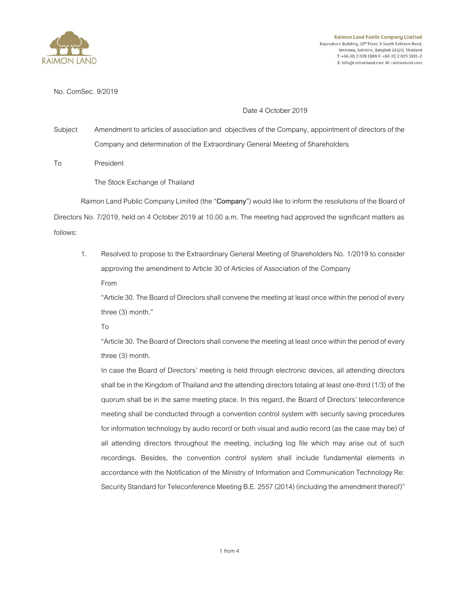

**Raimon Land Public Company Limited** Rajanakarn Building, 19th Floor, 3 South Sathorn Road, Yannawa, Sathorn, Bangkok 10120, Thailand T: +66 (0) 2 029 1889 F: +66 (0) 2 029 1891-2 E: info@raimonland.com W: raimonland.com

No. ComSec. 9/2019

Date 4 October 2019

Subject Amendment to articles of association and objectives of the Company, appointment of directors of the Company and determination of the Extraordinary General Meeting of Shareholders

To President

The Stock Exchange of Thailand

Raimon Land Public Company Limited (the "**Company**") would like to inform the resolutions of the Board of Directors No. 7/2019, held on 4 October 2019 at 10.00 a.m. The meeting had approved the significant matters as follows:

1. Resolved to propose to the Extraordinary General Meeting of Shareholders No. 1/2019 to consider approving the amendment to Article 30 of Articles of Association of the Company From

"Article 30. The Board of Directors shall convene the meeting at least once within the period of every three (3) month."

To

"Article 30. The Board of Directors shall convene the meeting at least once within the period of every three (3) month.

In case the Board of Directors' meeting is held through electronic devices, all attending directors shall be in the Kingdom of Thailand and the attending directors totaling at least one-third (1/3) of the quorum shall be in the same meeting place. In this regard, the Board of Directors' teleconference meeting shall be conducted through a convention control system with security saving procedures for information technology by audio record or both visual and audio record (as the case may be) of all attending directors throughout the meeting, including log file which may arise out of such recordings. Besides, the convention control system shall include fundamental elements in accordance with the Notification of the Ministry of Information and Communication Technology Re: Security Standard for Teleconference Meeting B.E. 2557 (2014) (including the amendment thereof)"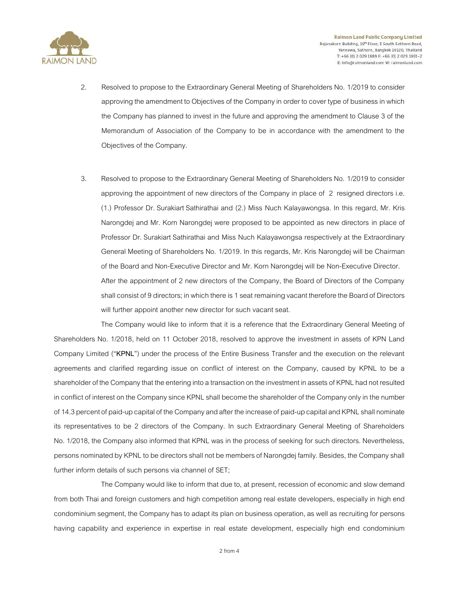

- 2. Resolved to propose to the Extraordinary General Meeting of Shareholders No. 1/2019 to consider approving the amendment to Objectives of the Company in order to cover type of business in which the Company has planned to invest in the future and approving the amendment to Clause 3 of the Memorandum of Association of the Company to be in accordance with the amendment to the Objectives of the Company.
- 3. Resolved to propose to the Extraordinary General Meeting of Shareholders No. 1/2019 to consider approving the appointment of new directors of the Company in place of 2 resigned directors i.e. (1.) Professor Dr. Surakiart Sathirathai and (2.) Miss Nuch Kalayawongsa. In this regard, Mr. Kris Narongdej and Mr. Korn Narongdej were proposed to be appointed as new directors in place of Professor Dr. Surakiart Sathirathai and Miss Nuch Kalayawongsa respectively at the Extraordinary General Meeting of Shareholders No. 1/2019. In this regards, Mr. Kris Narongdej will be Chairman of the Board and Non-Executive Director and Mr. Korn Narongdej will be Non-Executive Director. After the appointment of 2 new directors of the Company, the Board of Directors of the Company shall consist of 9 directors; in which there is 1 seat remaining vacant therefore the Board of Directors

The Company would like to inform that it is a reference that the Extraordinary General Meeting of Shareholders No. 1/2018, held on 11 October 2018, resolved to approve the investment in assets of KPN Land Company Limited ("**KPNL**") under the process of the Entire Business Transfer and the execution on the relevant agreements and clarified regarding issue on conflict of interest on the Company, caused by KPNL to be a shareholder of the Company that the entering into a transaction on the investment in assets of KPNL had not resulted in conflict of interest on the Company since KPNL shall become the shareholder of the Company only in the number of 14.3 percent of paid-up capital of the Companyand after the increase of paid-up capital and KPNL shall nominate its representatives to be 2 directors of the Company. In such Extraordinary General Meeting of Shareholders No. 1/2018, the Company also informed that KPNL was in the process of seeking for such directors. Nevertheless, persons nominated by KPNL to be directors shall not be members of Narongdej family. Besides, the Company shall further inform details of such persons via channel of SET;

will further appoint another new director for such vacant seat.

The Company would like to inform that due to, at present, recession of economic and slow demand from both Thai and foreign customers and high competition among real estate developers, especially in high end condominium segment, the Company has to adapt its plan on business operation, as well as recruiting for persons having capability and experience in expertise in real estate development, especially high end condominium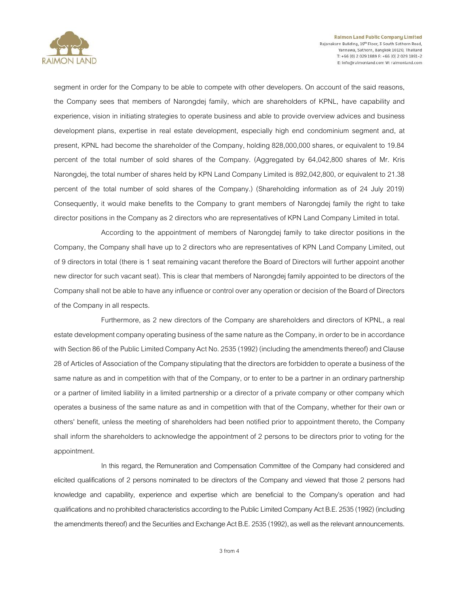

**Raimon Land Public Company Limited** Rajanakarn Building, 19<sup>th</sup> Floor, 3 South Sathorn Road, Yannawa, Sathorn, Bangkok 10120, Thailand T: +66 (0) 2 029 1889 F: +66 (0) 2 029 1891-2 E: info@raimonland.com W: raimonland.com

segment in order for the Company to be able to compete with other developers. On account of the said reasons, the Company sees that members of Narongdej family, which are shareholders of KPNL, have capability and experience, vision in initiating strategies to operate business and able to provide overview advices and business development plans, expertise in real estate development, especially high end condominium segment and, at present, KPNL had become the shareholder of the Company, holding 828,000,000 shares, or equivalent to 19.84 percent of the total number of sold shares of the Company. (Aggregated by 64,042,800 shares of Mr. Kris Narongdej, the total number of shares held by KPN Land Company Limited is 892,042,800, or equivalent to 21.38 percent of the total number of sold shares of the Company.) (Shareholding information as of 24 July 2019) Consequently, it would make benefits to the Company to grant members of Narongdej family the right to take director positions inthe Companyas 2 directors who are representatives of KPN Land Company Limited in total.

According to the appointment of members of Narongdej family to take director positions in the Company, the Company shall have up to 2 directors who are representatives of KPN Land Company Limited, out of 9 directors in total (there is 1 seat remaining vacant therefore the Board of Directors will further appoint another new director for such vacant seat). This is clear that members of Narongdej family appointed to be directors of the Company shall not be able to have any influence or control over any operation or decision of the Board of Directors of the Company in all respects.

Furthermore, as 2 new directors of the Company are shareholders and directors of KPNL, a real estate development company operating business of the same nature as the Company, in order to be in accordance with Section 86 of the Public Limited Company Act No. 2535 (1992) (including the amendments thereof) and Clause 28 of Articles of Association of the Company stipulating that the directors are forbidden to operate a business of the same nature as and in competition with that of the Company, or to enter to be a partner in an ordinary partnership or a partner of limited liability in a limited partnership or a director of a private company or other company which operates a business of the same nature as and in competition with that of the Company, whether for their own or others' benefit, unless the meeting of shareholders had been notified prior to appointment thereto, the Company shall inform the shareholders to acknowledge the appointment of 2 persons to be directors prior to voting for the appointment.

In this regard, the Remuneration and Compensation Committee of the Company had considered and elicited qualifications of 2 persons nominated to be directors of the Company and viewed that those 2 persons had knowledge and capability, experience and expertise which are beneficial to the Company's operation and had qualificationsand no prohibited characteristics according to the Public Limited Company Act B.E. 2535 (1992) (including the amendments thereof) and the Securities and Exchange Act B.E. 2535 (1992), as well as the relevant announcements.